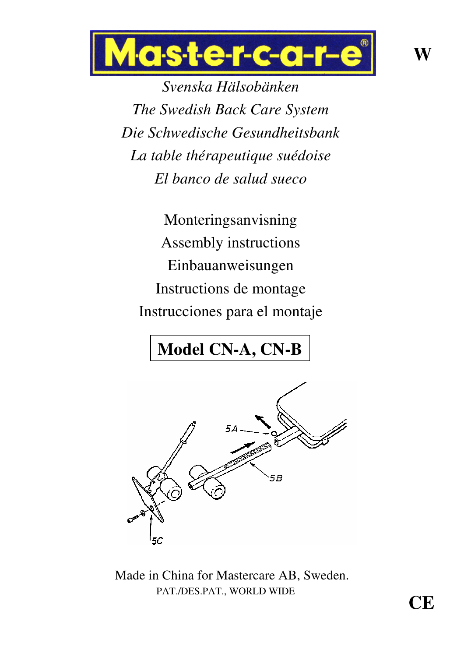

*Svenska Hälsobänken The Swedish Back Care System Die Schwedische Gesundheitsbank La table thérapeutique suédoise El banco de salud sueco*

Monteringsanvisning Assembly instructions Einbauanweisungen Instructions de montage Instrucciones para el montaje

# **Model CN-A, CN-B**



Made in China for Mastercare AB, Sweden. PAT./DES.PAT., WORLD WIDE

**CE**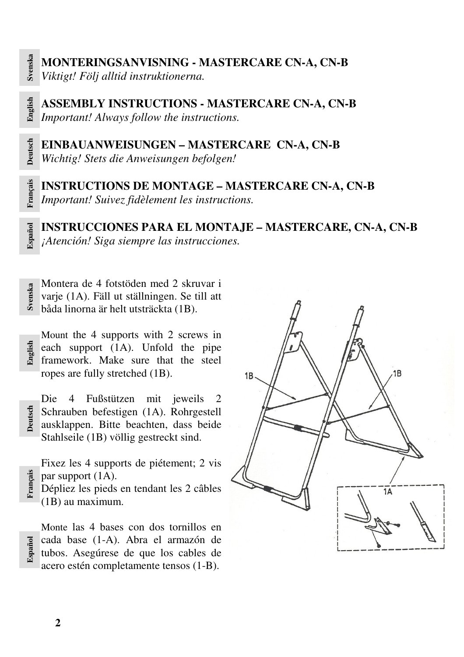**Esp a ñol**

**Deutsch**

**Fra nçais**

**Esp a ñol**

**MONTERINGSANVISNING - MASTERCARE CN-A, CN-B** *Viktigt! Följ alltid instruktionerna.*

**En glish ASSEMBLY INSTRUCTIONS - MASTERCARE CN-A, CN-B** *Important! Always follow the instructions.*

**Deutsch EINBAUANWEISUNGEN – MASTERCARE CN-A, CN-B** *Wichtig! Stets die Anweisungen befolgen!*

**Fra nçais INSTRUCTIONS DE MONTAGE – MASTERCARE CN-A, CN-B** *Important! Suivez fidèlement les instructions.*

**INSTRUCCIONES PARA EL MONTAJE – MASTERCARE, CN-A, CN-B** *¡Atención! Siga siempre las instrucciones.*

**S**<br> **varie (1A).** Fäll ut ställningen. Se till att<br> **båda linorna är helt utsträckta (1B)** varje (1A). Fäll ut ställningen. Se till att båda linorna är helt utsträckta (1B).

**E**<br> **e** each support (1A). Unfold the pipe<br> **E** framework. Make sure that the steel Mount the 4 supports with 2 screws in framework. Make sure that the steel ropes are fully stretched (1B).

Die 4 Fußstützen mit jeweils 2 Schrauben befestigen (1A). Rohrgestell ausklappen. Bitte beachten, dass beide Stahlseile (1B) völlig gestreckt sind.

Fixez les 4 supports de piétement; 2 vis par support (1A).

Dépliez les pieds en tendant les 2 câbles (1B) au maximum.

Monte las 4 bases con dos tornillos en cada base (1-A). Abra el armazón de tubos. Asegúrese de que los cables de acero estén completamente tensos (1-B).

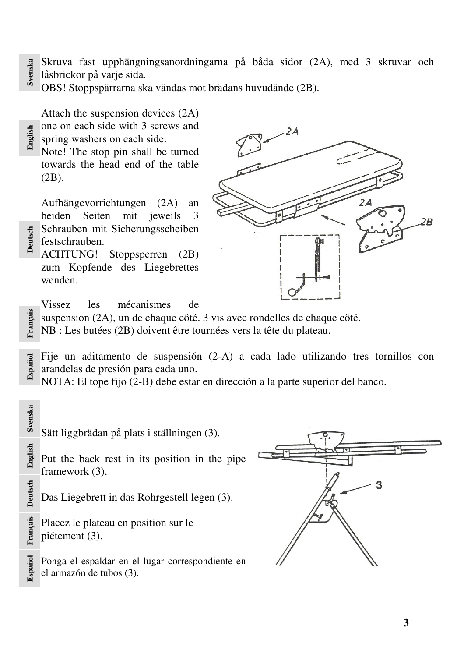- **S vensk a** Skruva fast upphängningsanordningarna på båda sidor (2A), med 3 skruvar och
- låsbrickor på varje sida.

**E n glish**

**Deutsch**

OBS! Stoppspärrarna ska vändas mot brädans huvudände (2B).

Attach the suspension devices (2A) one on each side with 3 screws and spring washers on each side.

Note! The stop pin shall be turned towards the head end of the table (2B).

Aufhängevorrichtungen (2A) an beiden Seiten mit jeweils 3 Schrauben mit Sicherungsscheiben festschrauben.

ACHTUNG! Stoppsperren (2B) zum Kopfende des Liegebrettes wenden.



Vissez les mécanismes de

**nçais** suspension (2A), un de chaque côté. 3 vis avec rondelles de chaque côté.

**Fra** NB : Les butées (2B) doivent être tournées vers la tête du plateau.

**Esp a ñol** Fije un aditamento de suspensión (2-A) a cada lado utilizando tres tornillos con arandelas de presión para cada uno.

NOTA: El tope fijo (2-B) debe estar en dirección a la parte superior del banco.

**S vensk a** Sätt liggbrädan på plats i ställningen (3). **E n glish** Put the back rest in its position in the pipe framework (3). **Deutsch** 3 Das Liegebrett in das Rohrgestell legen (3). **nçais** Placez le plateau en position sur le piétement (3). **Fra Esp a ñol** Ponga el espaldar en el lugar correspondiente en el armazón de tubos (3).

**3**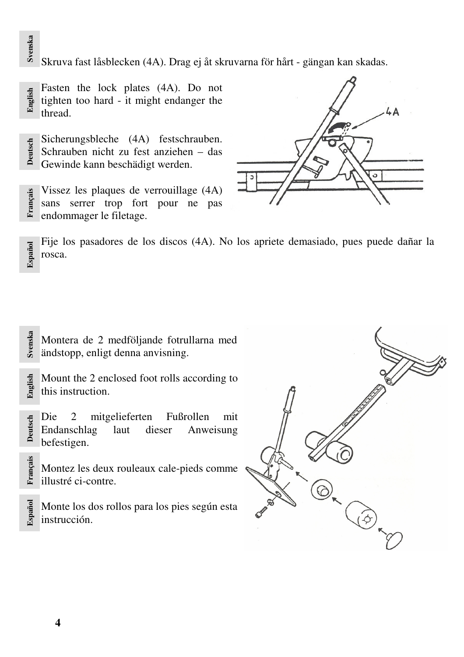**S vensk a** Skruva fast låsblecken (4A). Drag ej åt skruvarna för hårt - gängan kan skadas.

**E n glish** Fasten the lock plates (4A). Do not tighten too hard - it might endanger the thread.

- **Deutsch** Sicherungsbleche (4A) festschrauben. Schrauben nicht zu fest anziehen – das Gewinde kann beschädigt werden.
- **Fra nçais** Vissez les plaques de verrouillage (4A) sans serrer trop fort pour ne pas endommager le filetage.



**Esp a ñol** Fije los pasadores de los discos (4A). No los apriete demasiado, pues puede dañar la rosca.

**vensk a** Montera de 2 medföljande fotrullarna med ändstopp, enligt denna anvisning.

- **En glish** Mount the 2 enclosed foot rolls according to this instruction.
- **Deutsch ñol S** Die 2 mitgelieferten Fußrollen mit Endanschlag laut dieser Anweisung befestigen.
	- Montez les deux rouleaux cale-pieds comme illustré ci-contre.

Monte los dos rollos para los pies según esta instrucción.



**Fra nçais**

**Esp a**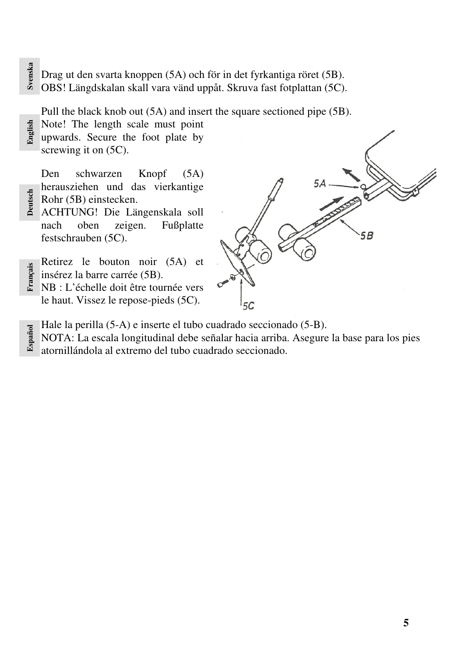# **S**<br> **a**<br> **b** Drag ut den svarta knoppen (5A) och för in det fyrkantiga röret (5B).<br> **b** OBS! Längdskalan skall vara vänd uppåt. Skruva fast fotplattan (5C)

OBS! Längdskalan skall vara vänd uppåt. Skruva fast fotplattan (5C).

Pull the black knob out (5A) and insert the square sectioned pipe (5B).

Note! The length scale must point

**En glish** upwards. Secure the foot plate by screwing it on  $(5C)$ .

**Bellister (5B)** einstecken.<br> **DEUTER ACHTUNG!** Die Lä Den schwarzen Knopf (5A) herausziehen und das vierkantige

ACHTUNG! Die Längenskala soll nach oben zeigen. Fußplatte festschrauben (5C).

**ng** insérez la barre carrée (5B). Retirez le bouton noir (5A) et

**Fra** NB : L'échelle doit être tournée vers le haut. Vissez le repose-pieds (5C).



- **Esp a ñol** Hale la perilla (5-A) e inserte el tubo cuadrado seccionado (5-B).
	- NOTA: La escala longitudinal debe señalar hacia arriba. Asegure la base para los pies atornillándola al extremo del tubo cuadrado seccionado.